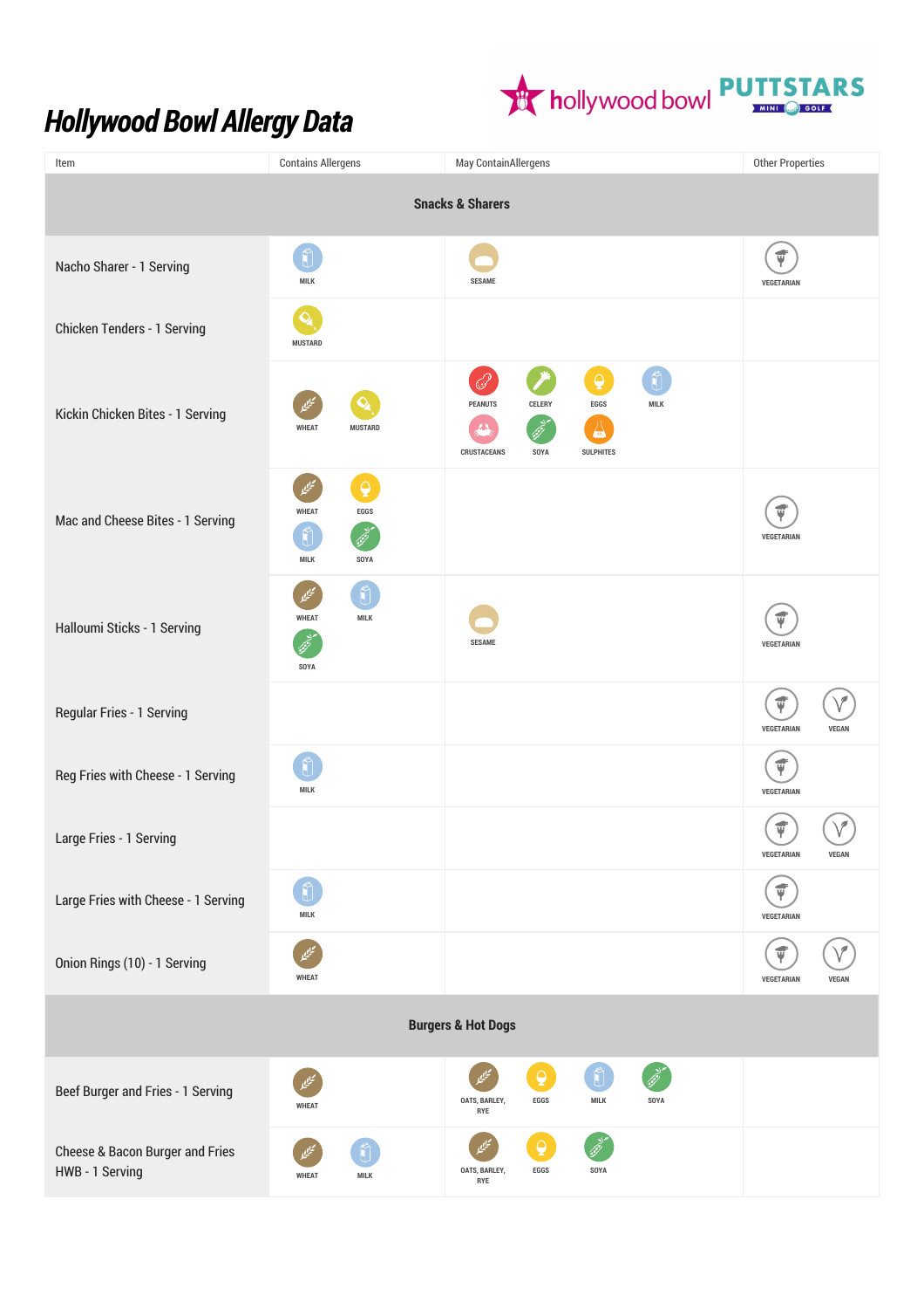## *Hollywood Bowl Allergy Data*



| Item                                               | <b>Contains Allergens</b>                                         | May ContainAllergens                                                                                                                        | <b>Other Properties</b>                         |  |
|----------------------------------------------------|-------------------------------------------------------------------|---------------------------------------------------------------------------------------------------------------------------------------------|-------------------------------------------------|--|
| <b>Snacks &amp; Sharers</b>                        |                                                                   |                                                                                                                                             |                                                 |  |
| Nacho Sharer - 1 Serving                           | MILK                                                              | <b>SESAME</b>                                                                                                                               | ψ<br><b>VEGETARIAN</b>                          |  |
| Chicken Tenders - 1 Serving                        | Q<br><b>MUSTARD</b>                                               |                                                                                                                                             |                                                 |  |
| Kickin Chicken Bites - 1 Serving                   | <b>WHEAT</b><br><b>MUSTARD</b>                                    | $\overline{\mathbf{Q}}$<br><b>PEANUTS</b><br>CELERY<br>EGGS<br><b>MILK</b><br>$\sqrt{30}$<br><b>CRUSTACEANS</b><br>SOYA<br><b>SULPHITES</b> |                                                 |  |
| Mac and Cheese Bites - 1 Serving                   | $\overline{\mathbf{Q}}$<br><b>WHEAT</b><br>$EGGS$<br>MILK<br>SOYA |                                                                                                                                             | ₫<br>VEGETARIAN                                 |  |
| Halloumi Sticks - 1 Serving                        | <b>WHEAT</b><br><b>MILK</b><br>SOYA                               | <b>SESAME</b>                                                                                                                               | $\vec{\Psi}$<br>VEGETARIAN                      |  |
| Regular Fries - 1 Serving                          |                                                                   |                                                                                                                                             | $\vec{\Psi}$<br>VEGETARIAN<br><b>VEGAN</b>      |  |
| Reg Fries with Cheese - 1 Serving                  | MILK                                                              |                                                                                                                                             | $\vec{\Psi}$<br>VEGETARIAN                      |  |
| Large Fries - 1 Serving                            |                                                                   |                                                                                                                                             | $\vec{\Psi}$<br>VEGETARIAN<br><b>VEGAN</b>      |  |
| Large Fries with Cheese - 1 Serving                | MILK                                                              |                                                                                                                                             | $\vec{\bm{\psi}}$<br><b>VEGETARIAN</b>          |  |
| Onion Rings (10) - 1 Serving                       | <b>WHEAT</b>                                                      |                                                                                                                                             | $\vec{\bm{\psi}}$<br>VEGETARIAN<br><b>VEGAN</b> |  |
| <b>Burgers &amp; Hot Dogs</b>                      |                                                                   |                                                                                                                                             |                                                 |  |
| Beef Burger and Fries - 1 Serving                  | <b>WHEAT</b>                                                      | $\mathbf{\Theta}$<br>Ů<br>OATS, BARLEY,<br>EGGS<br>MILK<br>SOYA<br>RYE                                                                      |                                                 |  |
| Cheese & Bacon Burger and Fries<br>HWB - 1 Serving | <b>WHEAT</b><br>MILK                                              | $\overline{Q}$<br>OATS, BARLEY,<br>EGGS<br>SOYA<br>RYE                                                                                      |                                                 |  |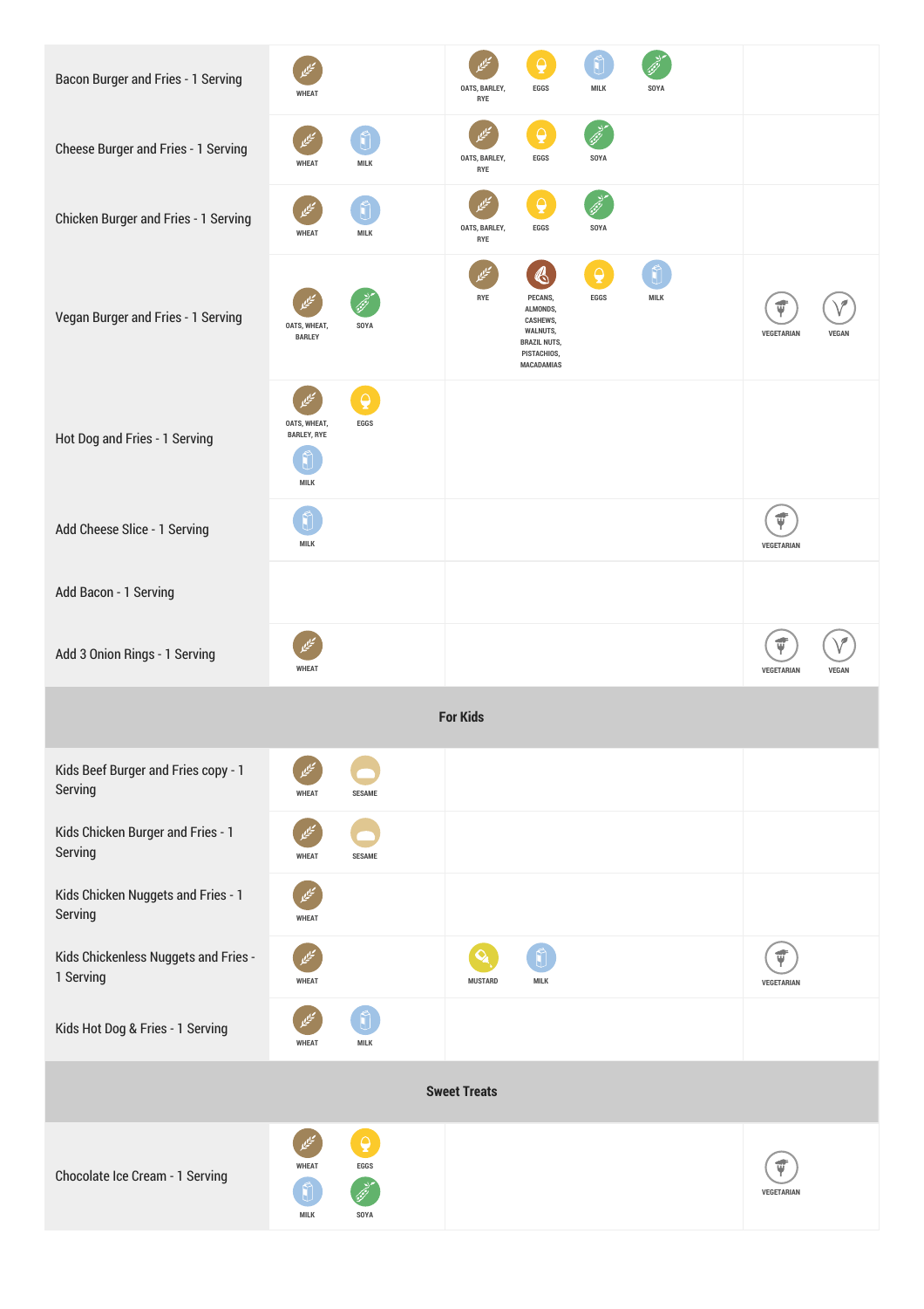| Bacon Burger and Fries - 1 Serving                | <b>WHEAT</b>                                                      | △<br>OATS, BARLEY,<br>EGGS<br>MILK<br>SOYA<br>RYE                                                                                                              |                                 |
|---------------------------------------------------|-------------------------------------------------------------------|----------------------------------------------------------------------------------------------------------------------------------------------------------------|---------------------------------|
| Cheese Burger and Fries - 1 Serving               | <b>WHEAT</b><br><b>MILK</b>                                       | $\Omega$<br>OATS, BARLEY,<br>EGGS<br>SOYA<br>RYE                                                                                                               |                                 |
| Chicken Burger and Fries - 1 Serving              | <b>WHEAT</b><br>MILK                                              | $\overline{Q}$<br>OATS, BARLEY,<br>EGGS<br>SOYA<br>RYE                                                                                                         |                                 |
| Vegan Burger and Fries - 1 Serving                | OATS, WHEAT,<br>SOYA<br><b>BARLEY</b>                             | $\mathbf{\Theta}$<br>ł<br>RYE<br>EGGS<br>PECANS,<br><b>MILK</b><br>ALMONDS,<br>CASHEWS,<br>WALNUTS,<br><b>BRAZIL NUTS,</b><br>PISTACHIOS,<br><b>MACADAMIAS</b> | VEGETARIAN<br>VEGAN             |
| Hot Dog and Fries - 1 Serving                     | $\triangle$<br>OATS, WHEAT,<br>EGGS<br><b>BARLEY, RYE</b><br>MILK |                                                                                                                                                                |                                 |
| Add Cheese Slice - 1 Serving                      | <b>MILK</b>                                                       |                                                                                                                                                                | ψ<br>VEGETARIAN                 |
| Add Bacon - 1 Serving                             |                                                                   |                                                                                                                                                                |                                 |
| Add 3 Onion Rings - 1 Serving                     | <b>WHEAT</b>                                                      |                                                                                                                                                                | Ý<br>VEGETARIAN<br><b>VEGAN</b> |
|                                                   |                                                                   | <b>For Kids</b>                                                                                                                                                |                                 |
| Kids Beef Burger and Fries copy - 1<br>Serving    | <b>WHEAT</b><br><b>SESAME</b>                                     |                                                                                                                                                                |                                 |
| Kids Chicken Burger and Fries - 1<br>Serving      | <b>WHEAT</b><br><b>SESAME</b>                                     |                                                                                                                                                                |                                 |
| Kids Chicken Nuggets and Fries - 1<br>Serving     | <b>WHEAT</b>                                                      |                                                                                                                                                                |                                 |
| Kids Chickenless Nuggets and Fries -<br>1 Serving | <b>WHEAT</b>                                                      | <b>MILK</b><br><b>MUSTARD</b>                                                                                                                                  | $\vec{\Psi}$<br>VEGETARIAN      |
| Kids Hot Dog & Fries - 1 Serving                  | <b>WHEAT</b><br>MILK                                              |                                                                                                                                                                |                                 |
| <b>Sweet Treats</b>                               |                                                                   |                                                                                                                                                                |                                 |
| Chocolate Ice Cream - 1 Serving                   | $\overline{\mathbf{Q}}$<br><b>WHEAT</b><br>$EGGS$<br>MILK<br>SOYA |                                                                                                                                                                | Ú<br>VEGETARIAN                 |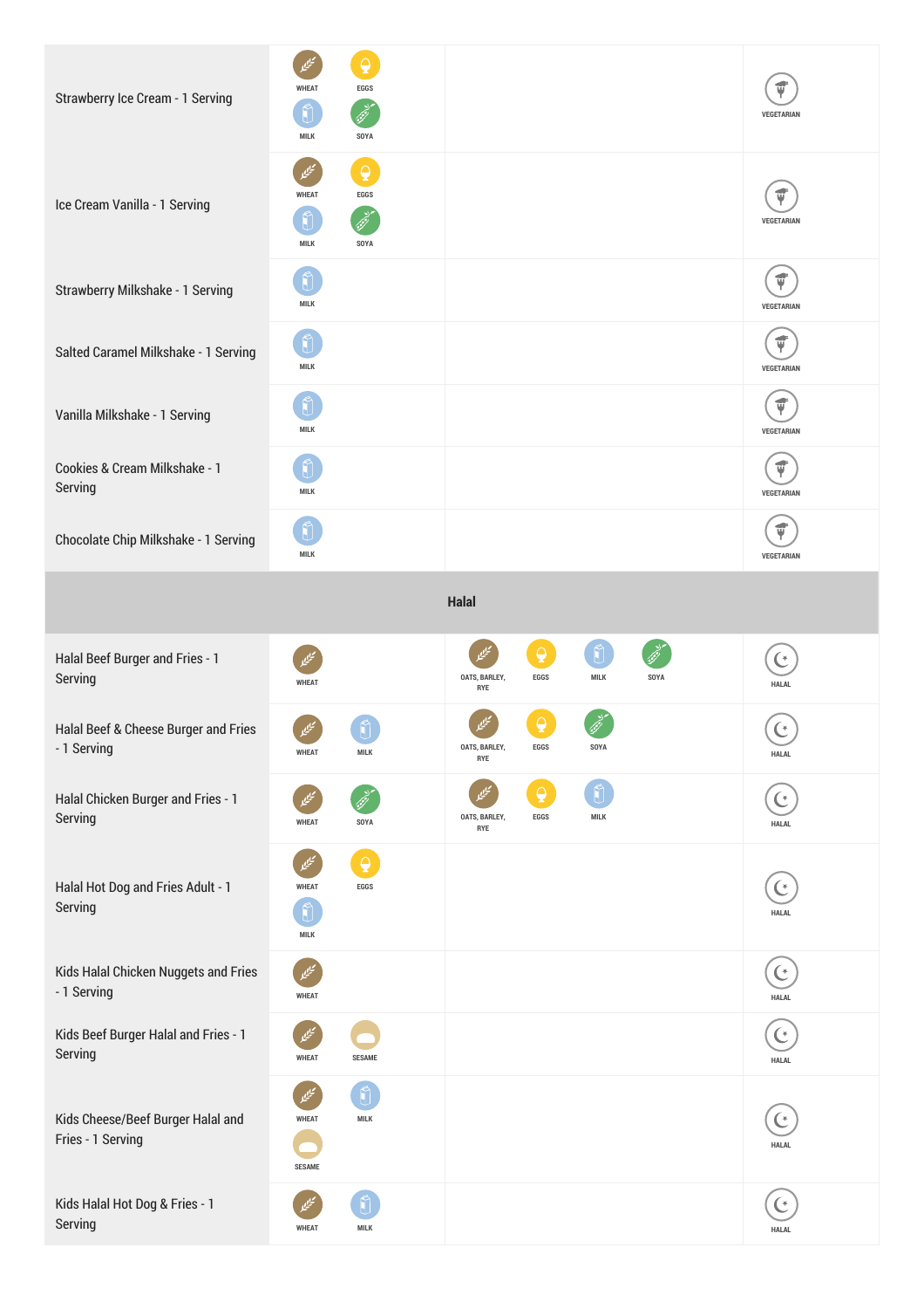| Strawberry Ice Cream - 1 Serving                       | $\Box$<br><b>WHEAT</b><br>EGGS<br>Ũ<br>MILK<br>SOYA              |                                                                   | <b>VEGETARIAN</b>                       |
|--------------------------------------------------------|------------------------------------------------------------------|-------------------------------------------------------------------|-----------------------------------------|
| Ice Cream Vanilla - 1 Serving                          | $\overline{Q}$<br><b>WHEAT</b><br>EGGS<br>MILK<br>SOYA           |                                                                   | Ú<br>VEGETARIAN                         |
| Strawberry Milkshake - 1 Serving                       | MILK                                                             |                                                                   | $\vec{\mathbf{v}}$<br>VEGETARIAN        |
| Salted Caramel Milkshake - 1 Serving                   | MILK                                                             |                                                                   | ť<br>VEGETARIAN                         |
| Vanilla Milkshake - 1 Serving                          | Ũ<br>MILK                                                        |                                                                   | $\vec{\Psi}$<br>VEGETARIAN              |
| Cookies & Cream Milkshake - 1<br>Serving               | MILK                                                             |                                                                   | ť<br><b>VEGETARIAN</b>                  |
| Chocolate Chip Milkshake - 1 Serving                   | <b>MILK</b>                                                      |                                                                   | VEGETARIAN                              |
|                                                        |                                                                  | Halal                                                             |                                         |
| Halal Beef Burger and Fries - 1<br>Serving             | <b>WHEAT</b>                                                     | $\bigcirc$<br>ميي<br>OATS, BARLEY,<br>EGGS<br>MILK<br>SOYA<br>RYE | <b>HALAL</b>                            |
| Halal Beef & Cheese Burger and Fries<br>- 1 Serving    | MILK<br><b>WHEAT</b>                                             | OATS, BARLEY,<br>EGGS<br>SOYA<br>RYE                              | C<br><b>HALAL</b>                       |
| Halal Chicken Burger and Fries - 1<br>Serving          | <b>WHEAT</b><br>SOYA                                             | $\Theta$<br>OATS, BARLEY,<br>EGGS<br><b>MILK</b><br>RYE           | <b>HALAL</b>                            |
| Halal Hot Dog and Fries Adult - 1<br>Serving           | $\overline{\mathbf{Q}}$<br><b>WHEAT</b><br>$EGGS$<br><b>MILK</b> |                                                                   | (*<br><b>HALAL</b>                      |
| Kids Halal Chicken Nuggets and Fries<br>- 1 Serving    | <b>WHEAT</b>                                                     |                                                                   | $\mathfrak{C}$<br>HALAL                 |
| Kids Beef Burger Halal and Fries - 1<br>Serving        | <b>WHEAT</b><br><b>SESAME</b>                                    |                                                                   | ' *<br><b>HALAL</b>                     |
| Kids Cheese/Beef Burger Halal and<br>Fries - 1 Serving | <b>MILK</b><br><b>WHEAT</b><br><b>SESAME</b>                     |                                                                   | $\mathbf{\mathfrak{C}}$<br><b>HALAL</b> |
| Kids Halal Hot Dog & Fries - 1<br>Serving              | MILK<br><b>WHEAT</b>                                             |                                                                   | <b>HALAL</b>                            |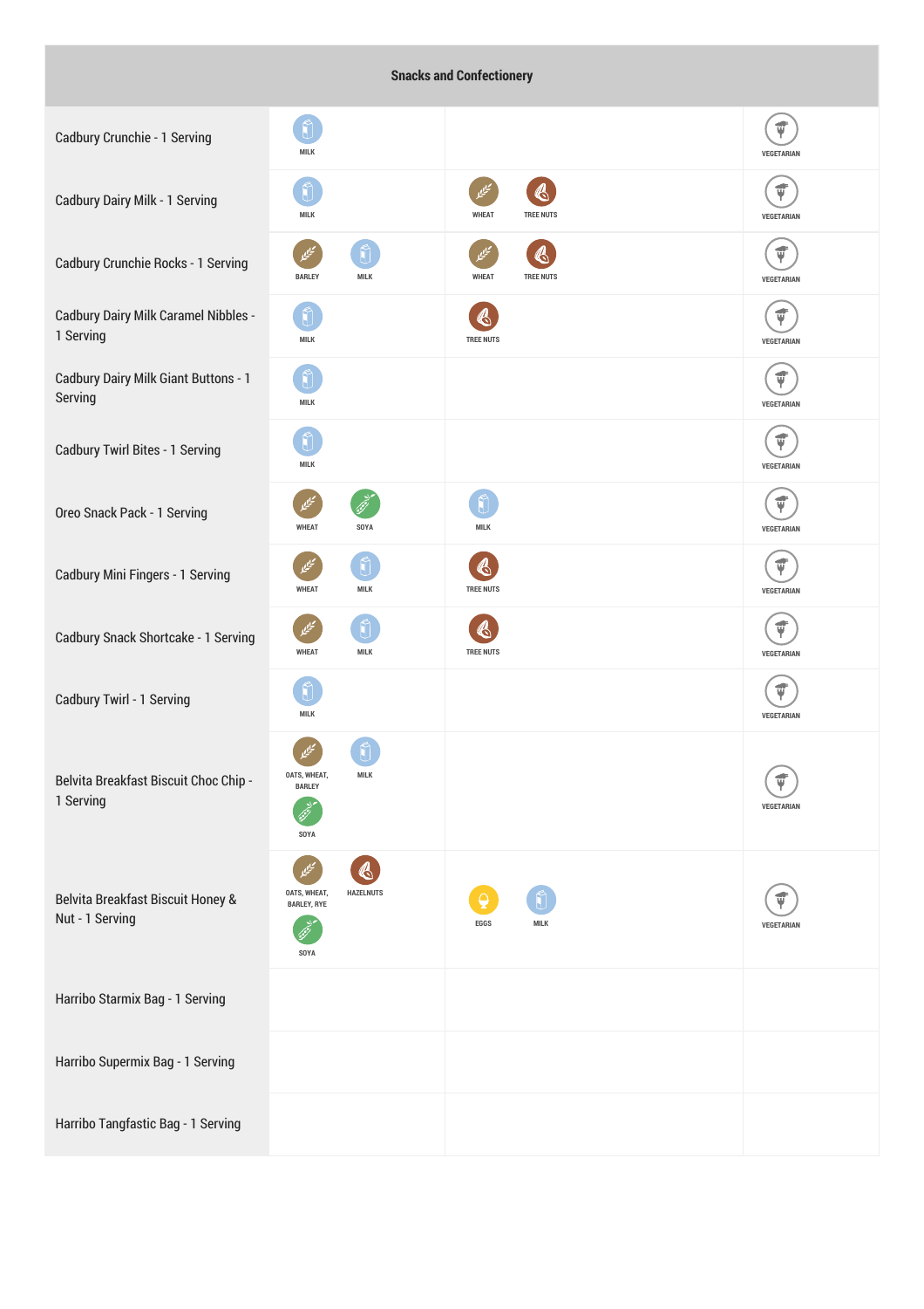## **Snacks and Confectionery**

| Cadbury Crunchie - 1 Serving                             | MILK                                                           |                                                            | ť<br>VEGETARIAN                  |
|----------------------------------------------------------|----------------------------------------------------------------|------------------------------------------------------------|----------------------------------|
| Cadbury Dairy Milk - 1 Serving                           | MILK                                                           | $\mathbb{Q}$<br>تيليما<br><b>WHEAT</b><br><b>TREE NUTS</b> | $\vec{\Psi}$<br>VEGETARIAN       |
| Cadbury Crunchie Rocks - 1 Serving                       | <b>MILK</b><br><b>BARLEY</b>                                   | «<br><b>WHEAT</b><br><b>TREE NUTS</b>                      | $\vec{\bm{\psi}}$<br>VEGETARIAN  |
| <b>Cadbury Dairy Milk Caramel Nibbles -</b><br>1 Serving | MILK                                                           | <b>TREE NUTS</b>                                           | $\vec{\mathbf{v}}$<br>VEGETARIAN |
| Cadbury Dairy Milk Giant Buttons - 1<br>Serving          | Ũ<br>MILK                                                      |                                                            | $\vec{\Psi}$<br>VEGETARIAN       |
| Cadbury Twirl Bites - 1 Serving                          | <b>MILK</b>                                                    |                                                            | $\vec{v}$<br>VEGETARIAN          |
| Oreo Snack Pack - 1 Serving                              | <b>WHEAT</b><br>SOYA                                           | <b>MILK</b>                                                | ψ<br>VEGETARIAN                  |
| Cadbury Mini Fingers - 1 Serving                         | ñ<br>تنكي<br><b>WHEAT</b><br><b>MILK</b>                       | $\clubsuit$<br><b>TREE NUTS</b>                            | $\vec{\Psi}$<br>VEGETARIAN       |
| Cadbury Snack Shortcake - 1 Serving                      | <b>MILK</b><br><b>WHEAT</b>                                    | <b>TREE NUTS</b>                                           | ψ<br>VEGETARIAN                  |
| Cadbury Twirl - 1 Serving                                | <b>MILK</b>                                                    |                                                            | $\vec{\Psi}$<br>VEGETARIAN       |
| Belvita Breakfast Biscuit Choc Chip -<br>1 Serving       | <b>MILK</b><br>OATS, WHEAT,<br><b>BARLEY</b><br>SOYA           |                                                            | Ψ<br><b>VEGETARIAN</b>           |
| Belvita Breakfast Biscuit Honey &<br>Nut - 1 Serving     | <b>HAZELNUTS</b><br>OATS, WHEAT,<br><b>BARLEY, RYE</b><br>SOYA | <b>MILK</b><br><b>EGGS</b>                                 | ť<br><b>VEGETARIAN</b>           |
| Harribo Starmix Bag - 1 Serving                          |                                                                |                                                            |                                  |
| Harribo Supermix Bag - 1 Serving                         |                                                                |                                                            |                                  |
| Harribo Tangfastic Bag - 1 Serving                       |                                                                |                                                            |                                  |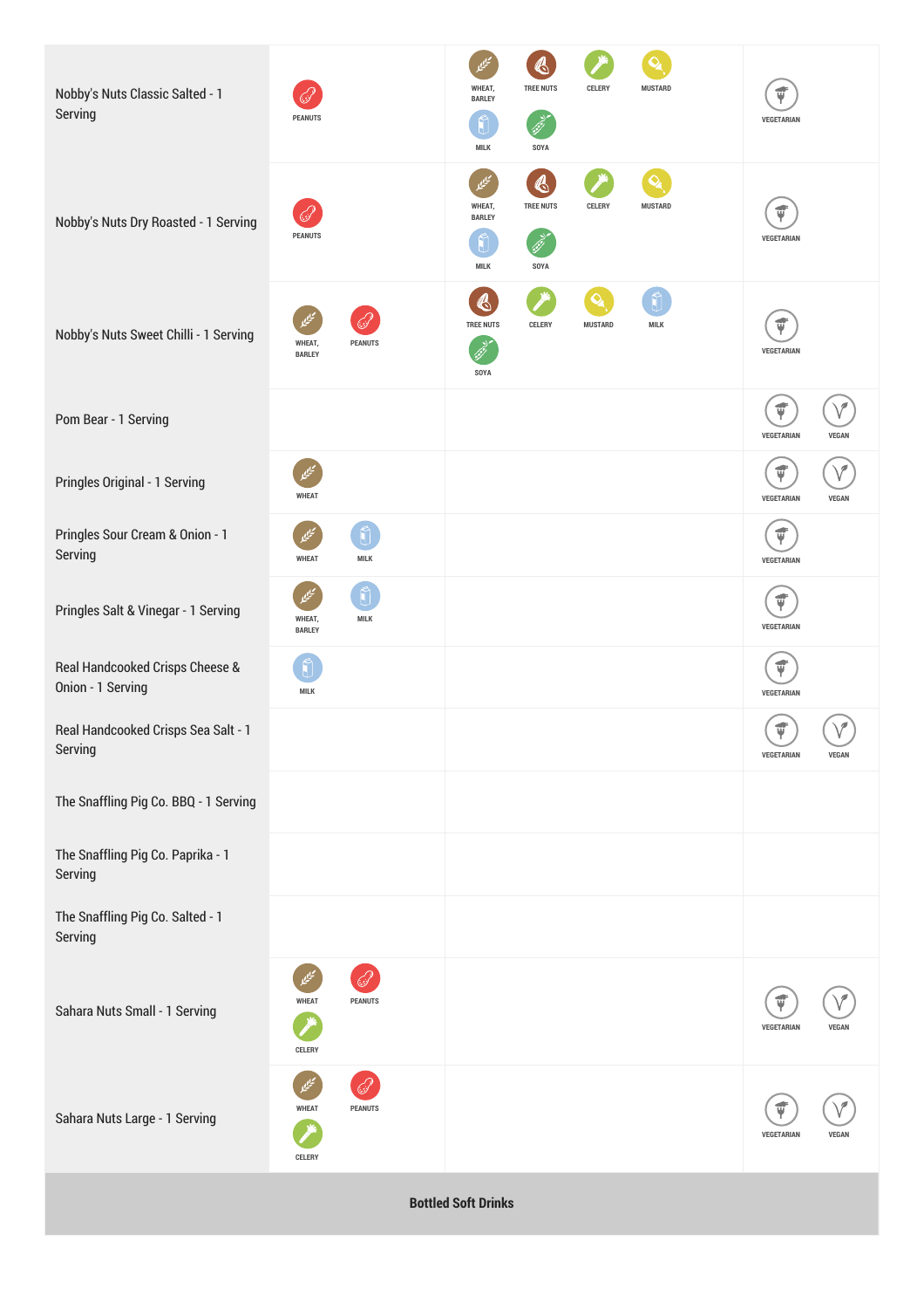| Nobby's Nuts Classic Salted - 1<br>Serving           | <b>PEANUTS</b>                              | G<br><b>TREE NUTS</b><br>WHEAT,<br>CELERY<br><b>MUSTARD</b><br><b>BARLEY</b><br>MILK<br>SOYA                   | ψ<br>VEGETARIAN                            |
|------------------------------------------------------|---------------------------------------------|----------------------------------------------------------------------------------------------------------------|--------------------------------------------|
| Nobby's Nuts Dry Roasted - 1 Serving                 | <b>PEANUTS</b>                              | $\mathcal{A}$<br>۵.<br><b>TREE NUTS</b><br>WHEAT,<br>CELERY<br><b>MUSTARD</b><br><b>BARLEY</b><br>MILK<br>SOYA | $\vec{\Psi}$<br>VEGETARIAN                 |
| Nobby's Nuts Sweet Chilli - 1 Serving                | <b>PEANUTS</b><br>WHEAT,<br><b>BARLEY</b>   | $\mathbf{Q}_\mathbf{a}$<br>$\bigcirc$<br>Ñ<br><b>TREE NUTS</b><br>CELERY<br><b>MUSTARD</b><br>MILK<br>SOYA     | $\vec{\Psi}$<br>VEGETARIAN                 |
| Pom Bear - 1 Serving                                 |                                             |                                                                                                                | $\vec{\Psi}$<br>VEGETARIAN<br><b>VEGAN</b> |
| Pringles Original - 1 Serving                        | <b>WHEAT</b>                                |                                                                                                                | ψ<br>VEGETARIAN<br><b>VEGAN</b>            |
| Pringles Sour Cream & Onion - 1<br>Serving           | <b>WHEAT</b><br>MILK                        |                                                                                                                | $\vec{\Psi}$<br>VEGETARIAN                 |
| Pringles Salt & Vinegar - 1 Serving                  | Ũ<br><b>MILK</b><br>WHEAT,<br><b>BARLEY</b> |                                                                                                                | $\vec{\Psi}$<br>VEGETARIAN                 |
| Real Handcooked Crisps Cheese &<br>Onion - 1 Serving | MILK                                        |                                                                                                                | $\vec{\Psi}$<br>VEGETARIAN                 |
| Real Handcooked Crisps Sea Salt - 1<br>Serving       |                                             |                                                                                                                | ψ<br>VEGETARIAN<br><b>VEGAN</b>            |
| The Snaffling Pig Co. BBQ - 1 Serving                |                                             |                                                                                                                |                                            |
| The Snaffling Pig Co. Paprika - 1<br>Serving         |                                             |                                                                                                                |                                            |
| The Snaffling Pig Co. Salted - 1<br>Serving          |                                             |                                                                                                                |                                            |
| Sahara Nuts Small - 1 Serving                        | <b>WHEAT</b><br><b>PEANUTS</b><br>CELERY    |                                                                                                                | ť<br>VEGETARIAN<br><b>VEGAN</b>            |
| Sahara Nuts Large - 1 Serving                        | <b>WHEAT</b><br><b>PEANUTS</b><br>CELERY    |                                                                                                                | ť<br>VEGETARIAN<br>VEGAN                   |
|                                                      |                                             |                                                                                                                |                                            |

**Bottled Soft Drinks**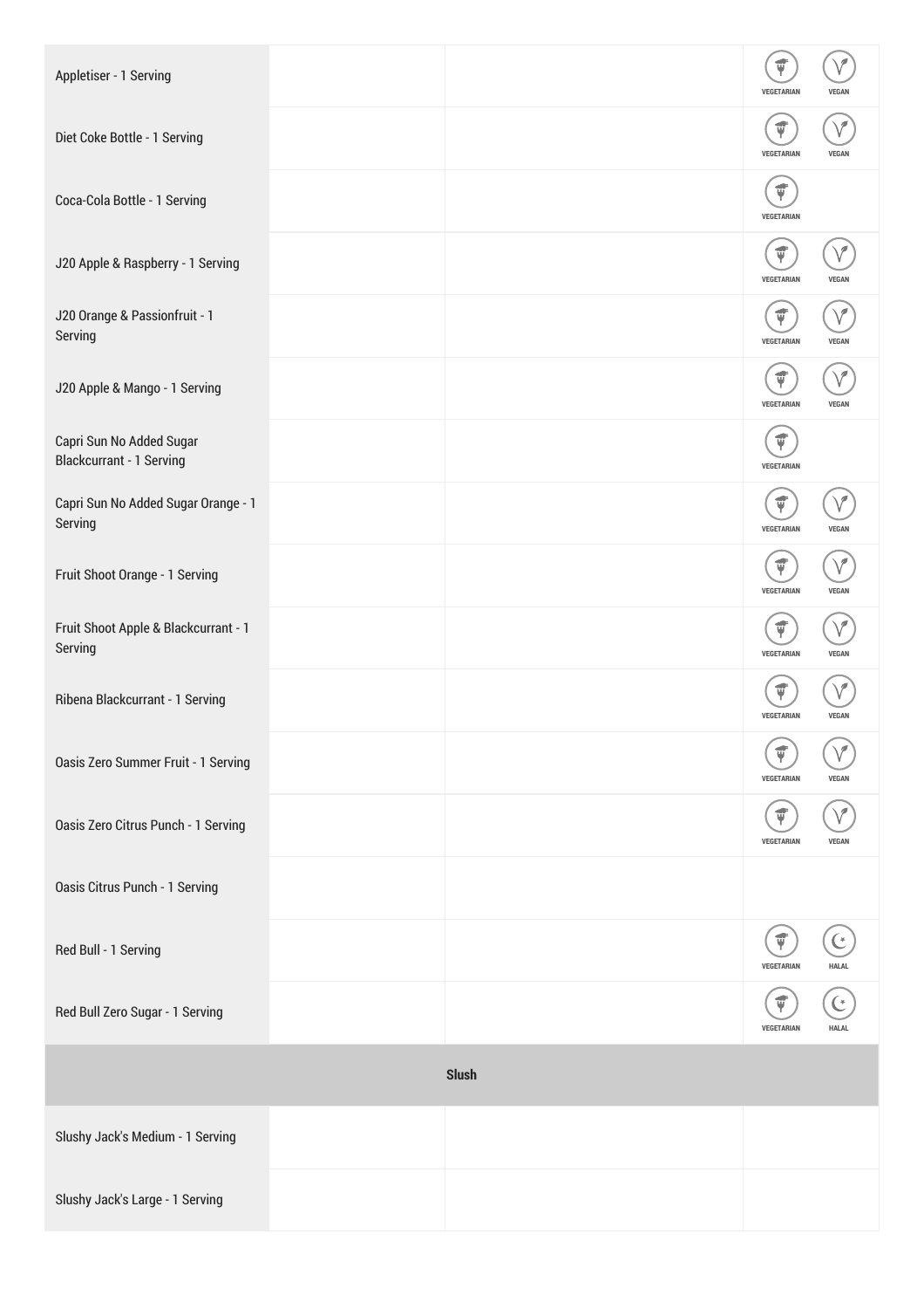| Appletiser - 1 Serving                               |              | VEGETARIAN                       | <b>VEGAN</b> |
|------------------------------------------------------|--------------|----------------------------------|--------------|
| Diet Coke Bottle - 1 Serving                         |              | $\vec{v}$<br>VEGETARIAN          | <b>VEGAN</b> |
| Coca-Cola Bottle - 1 Serving                         |              | VEGETARIAN                       |              |
| J20 Apple & Raspberry - 1 Serving                    |              | $\vec{\mathbf{y}}$<br>VEGETARIAN | <b>VFGA</b>  |
| J20 Orange & Passionfruit - 1<br>Serving             |              | ť<br>VEGETARIAN                  | <b>VEGAN</b> |
| J20 Apple & Mango - 1 Serving                        |              | ψ<br>VEGETARIAN                  | <b>VEGAN</b> |
| Capri Sun No Added Sugar<br>Blackcurrant - 1 Serving |              | $\vec{v}$<br>VEGETARIAN          |              |
| Capri Sun No Added Sugar Orange - 1<br>Serving       |              | VEGETARIAN                       | <b>VEGAN</b> |
| Fruit Shoot Orange - 1 Serving                       |              | ψ<br>VEGETARIAN                  | VEGAN        |
| Fruit Shoot Apple & Blackcurrant - 1<br>Serving      |              | ψ<br>VEGETARIAN                  | <b>VEGAN</b> |
| Ribena Blackcurrant - 1 Serving                      |              | VEGETARIAN                       | <b>VEGAN</b> |
| Oasis Zero Summer Fruit - 1 Serving                  |              | ť<br>VEGETARIAN                  | <b>VEGAN</b> |
| Oasis Zero Citrus Punch - 1 Serving                  |              | <b>VEGETARIAN</b>                | VEGAN        |
| Oasis Citrus Punch - 1 Serving                       |              |                                  |              |
| Red Bull - 1 Serving                                 |              | ť<br>VEGETARIAN                  | <b>HALAL</b> |
| Red Bull Zero Sugar - 1 Serving                      |              | VEGETARIAN                       | <b>HALAL</b> |
|                                                      | <b>Slush</b> |                                  |              |
| Slushy Jack's Medium - 1 Serving                     |              |                                  |              |
| Slushy Jack's Large - 1 Serving                      |              |                                  |              |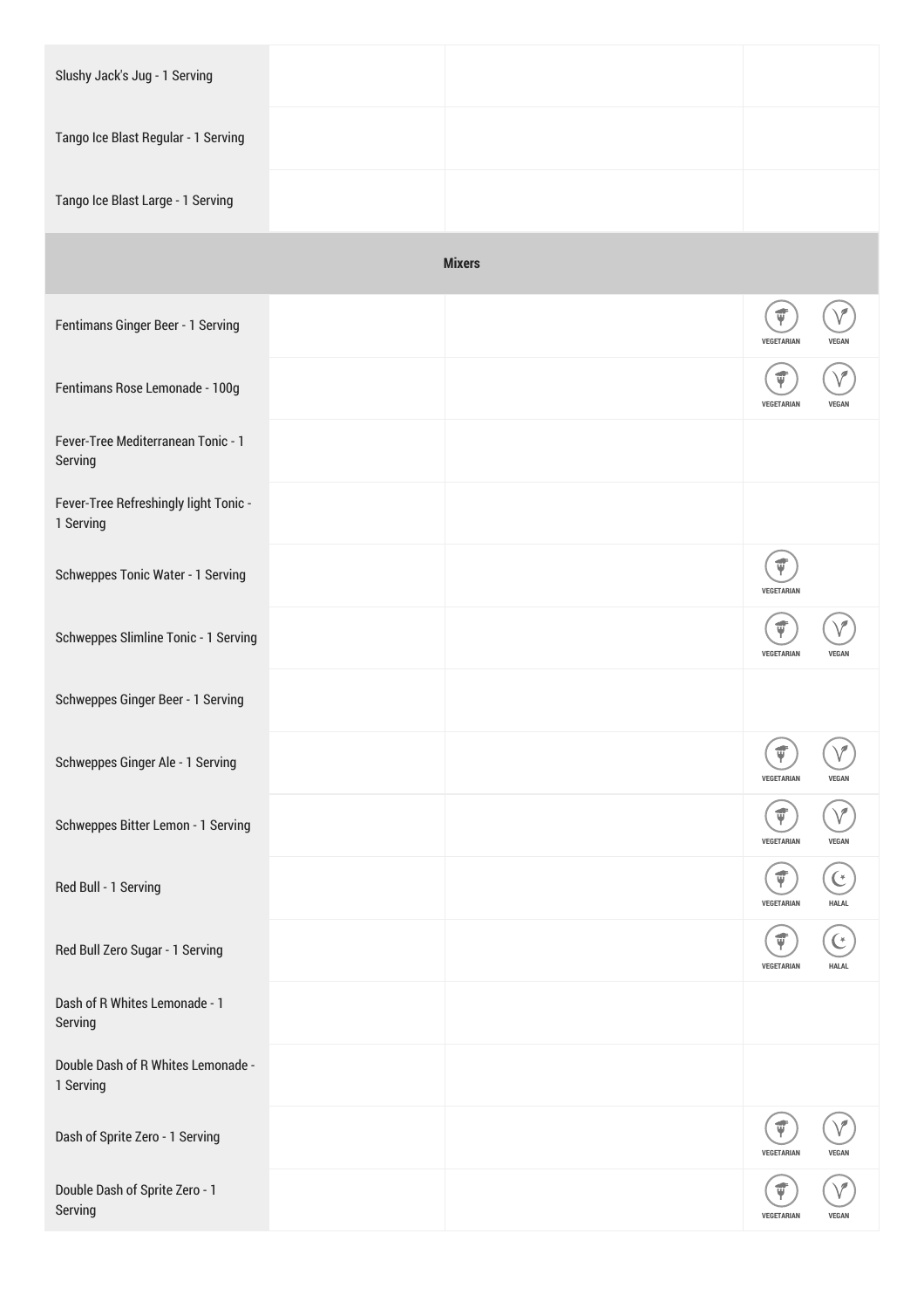| Slushy Jack's Jug - 1 Serving                      |               |                                        |              |
|----------------------------------------------------|---------------|----------------------------------------|--------------|
| Tango Ice Blast Regular - 1 Serving                |               |                                        |              |
| Tango Ice Blast Large - 1 Serving                  |               |                                        |              |
|                                                    | <b>Mixers</b> |                                        |              |
| Fentimans Ginger Beer - 1 Serving                  |               | $\vec{\Psi}$<br>VEGETARIAN             | <b>VEGAI</b> |
| Fentimans Rose Lemonade - 100g                     |               | VEGETARIAN                             | <b>VEGAN</b> |
| Fever-Tree Mediterranean Tonic - 1<br>Serving      |               |                                        |              |
| Fever-Tree Refreshingly light Tonic -<br>1 Serving |               |                                        |              |
| Schweppes Tonic Water - 1 Serving                  |               | Ú<br>VEGETARIAN                        |              |
| Schweppes Slimline Tonic - 1 Serving               |               | Ý<br>VEGETARIAN                        | <b>VEGAN</b> |
| Schweppes Ginger Beer - 1 Serving                  |               |                                        |              |
| Schweppes Ginger Ale - 1 Serving                   |               | $\frown$<br>$\vec{\Psi}$<br>VEGETARIAN | <b>VEGAN</b> |
| Schweppes Bitter Lemon - 1 Serving                 |               | Ý<br>VEGETARIAN                        | <b>VEGAN</b> |
| Red Bull - 1 Serving                               |               | ψ<br>VEGETARIAN                        | <b>HALAL</b> |
| Red Bull Zero Sugar - 1 Serving                    |               | ψ<br>VEGETARIAN                        | <b>HALAL</b> |
| Dash of R Whites Lemonade - 1<br>Serving           |               |                                        |              |
| Double Dash of R Whites Lemonade -<br>1 Serving    |               |                                        |              |
| Dash of Sprite Zero - 1 Serving                    |               | ψ<br>VEGETARIAN                        | <b>VEGAN</b> |
| Double Dash of Sprite Zero - 1<br>Serving          |               | VEGETARIAN                             | <b>VEGAN</b> |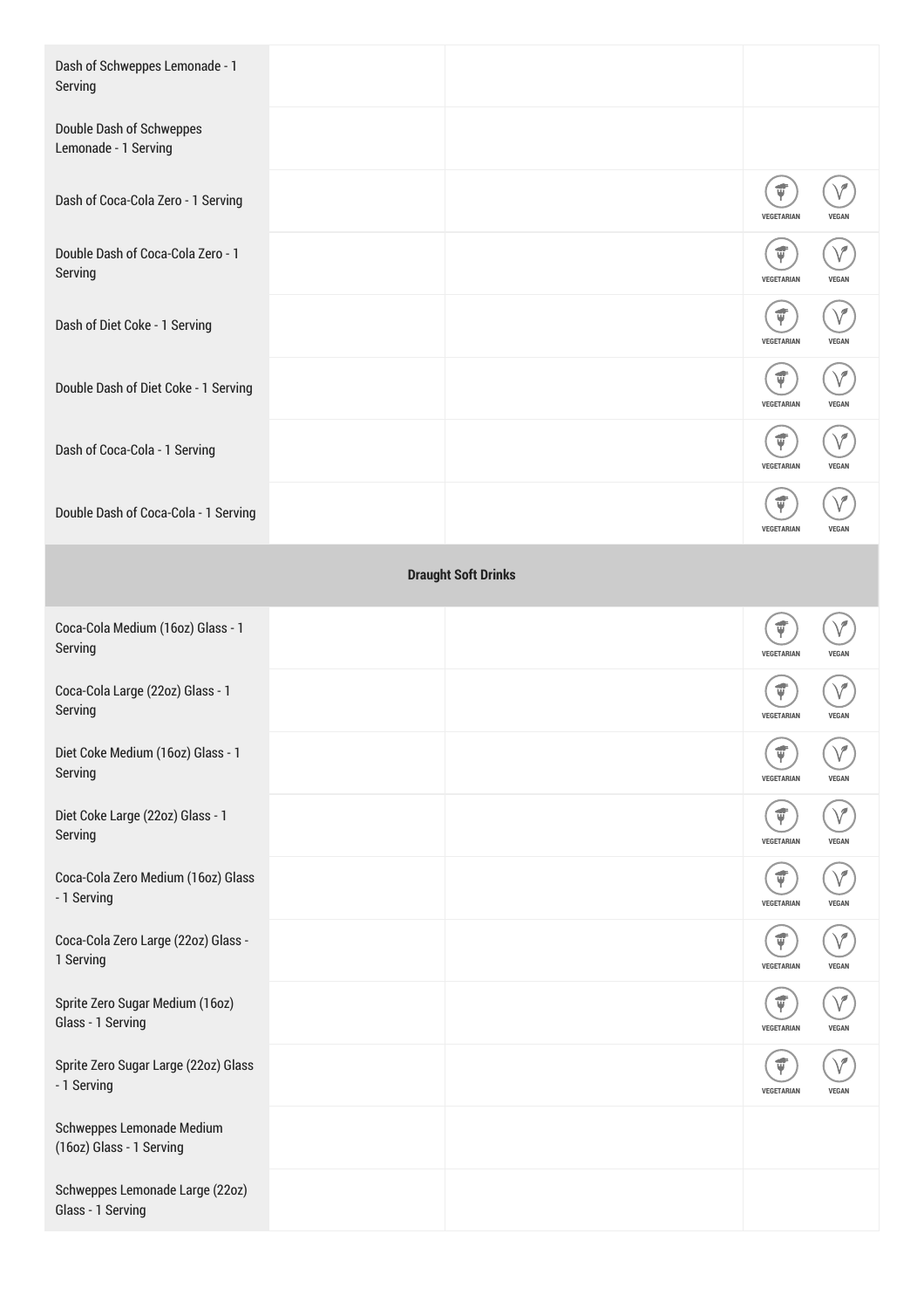| Dash of Schweppes Lemonade - 1<br>Serving                    |                            |                                  |              |
|--------------------------------------------------------------|----------------------------|----------------------------------|--------------|
| Double Dash of Schweppes<br>Lemonade - 1 Serving             |                            |                                  |              |
| Dash of Coca-Cola Zero - 1 Serving                           |                            | Ú<br>VEGETARIAN                  | <b>VEGAI</b> |
| Double Dash of Coca-Cola Zero - 1<br>Serving                 |                            | $\vec{\mathbf{v}}$<br>VEGETARIAN | <b>VEGAN</b> |
| Dash of Diet Coke - 1 Serving                                |                            | ť<br>VEGETARIAN                  | <b>VEGAN</b> |
| Double Dash of Diet Coke - 1 Serving                         |                            | Ψ<br>VEGETARIAN                  | VEGAN        |
| Dash of Coca-Cola - 1 Serving                                |                            | Ý<br>VEGETARIAN                  | <b>VEGAN</b> |
| Double Dash of Coca-Cola - 1 Serving                         |                            | VEGETARIAN                       | <b>VEGAN</b> |
|                                                              | <b>Draught Soft Drinks</b> |                                  |              |
| Coca-Cola Medium (16oz) Glass - 1<br>Serving                 |                            | $\vec{\bm{\psi}}$<br>VEGETARIAN  | <b>VEGAN</b> |
| Coca-Cola Large (22oz) Glass - 1<br>Serving                  |                            | <b>VEGETARIAN</b>                | <b>VEGAN</b> |
| Diet Coke Medium (16oz) Glass - 1<br>Serving                 |                            | ť<br>VEGETARIAN                  | <b>VEGAN</b> |
| Diet Coke Large (22oz) Glass - 1<br>Serving                  |                            | ψ<br>VEGETARIAN                  | VEGAN        |
| Coca-Cola Zero Medium (16oz) Glass<br>- 1 Serving            |                            | ψ<br><b>VEGETARIAN</b>           | <b>VEGAN</b> |
| Coca-Cola Zero Large (22oz) Glass -<br>1 Serving             |                            | ť<br>VEGETARIAN                  | <b>VEGAN</b> |
| Sprite Zero Sugar Medium (16oz)<br>Glass - 1 Serving         |                            | Ý<br>VEGETARIAN                  | VEGAN        |
| Sprite Zero Sugar Large (22oz) Glass<br>- 1 Serving          |                            | ₡<br>VEGETARIAN                  | VEGAN        |
| <b>Schweppes Lemonade Medium</b><br>(16oz) Glass - 1 Serving |                            |                                  |              |
| Schweppes Lemonade Large (22oz)<br>Glass - 1 Serving         |                            |                                  |              |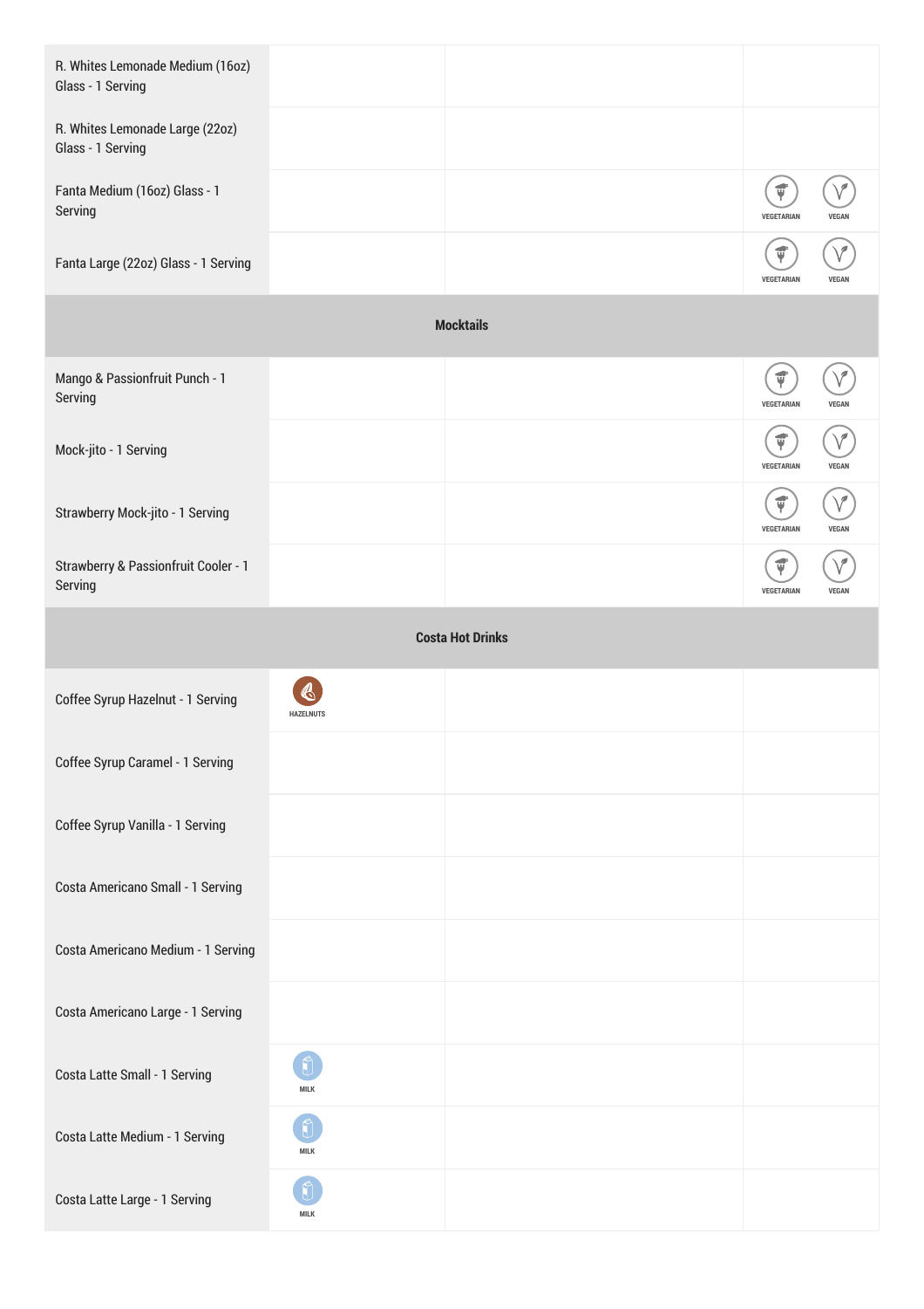| R. Whites Lemonade Medium (16oz)<br>Glass - 1 Serving |                  |                         |                                  |              |
|-------------------------------------------------------|------------------|-------------------------|----------------------------------|--------------|
| R. Whites Lemonade Large (22oz)<br>Glass - 1 Serving  |                  |                         |                                  |              |
| Fanta Medium (16oz) Glass - 1<br>Serving              |                  |                         | ť<br>VEGETARIAN                  | <b>VEGAN</b> |
| Fanta Large (22oz) Glass - 1 Serving                  |                  |                         | $\vec{\bm{\psi}}$<br>VEGETARIAN  | <b>VEGAN</b> |
|                                                       |                  | <b>Mocktails</b>        |                                  |              |
| Mango & Passionfruit Punch - 1<br>Serving             |                  |                         | $\vec{\bm{\psi}}$<br>VEGETARIAN  | <b>VEGAN</b> |
| Mock-jito - 1 Serving                                 |                  |                         | $\vec{\Psi}$<br>VEGETARIAN       | <b>VEGAN</b> |
| Strawberry Mock-jito - 1 Serving                      |                  |                         | $\vec{\mathbf{v}}$<br>VEGETARIAN | <b>VEGAN</b> |
| Strawberry & Passionfruit Cooler - 1<br>Serving       |                  |                         | VEGETARIAN                       | <b>VEGAN</b> |
|                                                       |                  | <b>Costa Hot Drinks</b> |                                  |              |
| Coffee Syrup Hazelnut - 1 Serving                     | <b>HAZELNUTS</b> |                         |                                  |              |
| Coffee Syrup Caramel - 1 Serving                      |                  |                         |                                  |              |
| Coffee Syrup Vanilla - 1 Serving                      |                  |                         |                                  |              |
| Costa Americano Small - 1 Serving                     |                  |                         |                                  |              |
| Costa Americano Medium - 1 Serving                    |                  |                         |                                  |              |
| Costa Americano Large - 1 Serving                     |                  |                         |                                  |              |
| Costa Latte Small - 1 Serving                         | MILK             |                         |                                  |              |
| Costa Latte Medium - 1 Serving                        | MILK             |                         |                                  |              |
| Costa Latte Large - 1 Serving                         | MILK             |                         |                                  |              |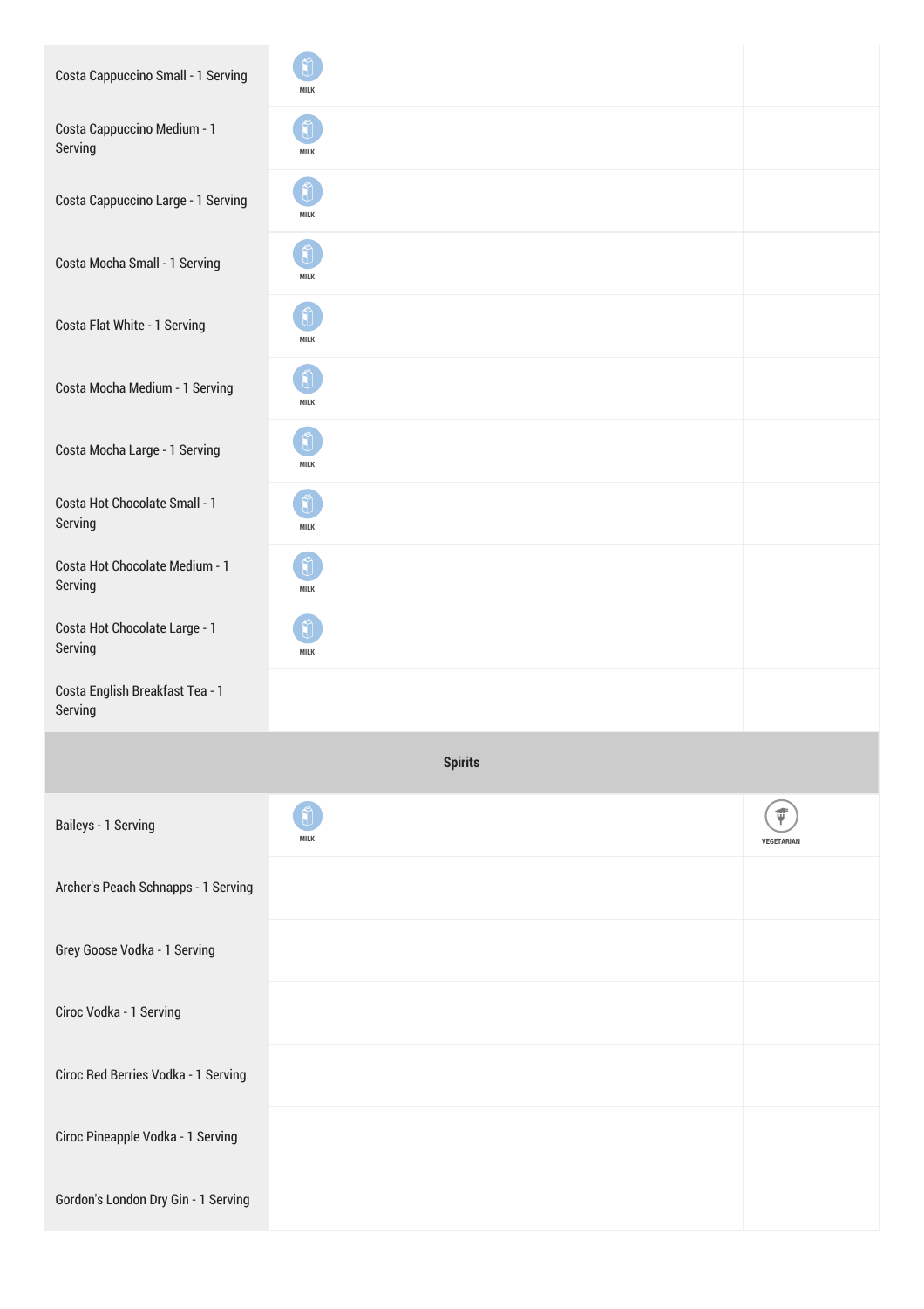| Costa Cappuccino Small - 1 Serving         | <b>MILK</b> |                |                         |
|--------------------------------------------|-------------|----------------|-------------------------|
| Costa Cappuccino Medium - 1<br>Serving     | <b>MILK</b> |                |                         |
| Costa Cappuccino Large - 1 Serving         | <b>MILK</b> |                |                         |
| Costa Mocha Small - 1 Serving              | <b>MILK</b> |                |                         |
| Costa Flat White - 1 Serving               | MILK        |                |                         |
| Costa Mocha Medium - 1 Serving             | MILK        |                |                         |
| Costa Mocha Large - 1 Serving              | <b>MILK</b> |                |                         |
| Costa Hot Chocolate Small - 1<br>Serving   | <b>MILK</b> |                |                         |
| Costa Hot Chocolate Medium - 1<br>Serving  | <b>MILK</b> |                |                         |
| Costa Hot Chocolate Large - 1<br>Serving   | <b>MILK</b> |                |                         |
| Costa English Breakfast Tea - 1<br>Serving |             |                |                         |
|                                            |             | <b>Spirits</b> |                         |
| Baileys - 1 Serving                        | <b>MILK</b> |                | $\vec{v}$<br>VEGETARIAN |
| Archer's Peach Schnapps - 1 Serving        |             |                |                         |
| Grey Goose Vodka - 1 Serving               |             |                |                         |
| Ciroc Vodka - 1 Serving                    |             |                |                         |
| Ciroc Red Berries Vodka - 1 Serving        |             |                |                         |
| Ciroc Pineapple Vodka - 1 Serving          |             |                |                         |
| Gordon's London Dry Gin - 1 Serving        |             |                |                         |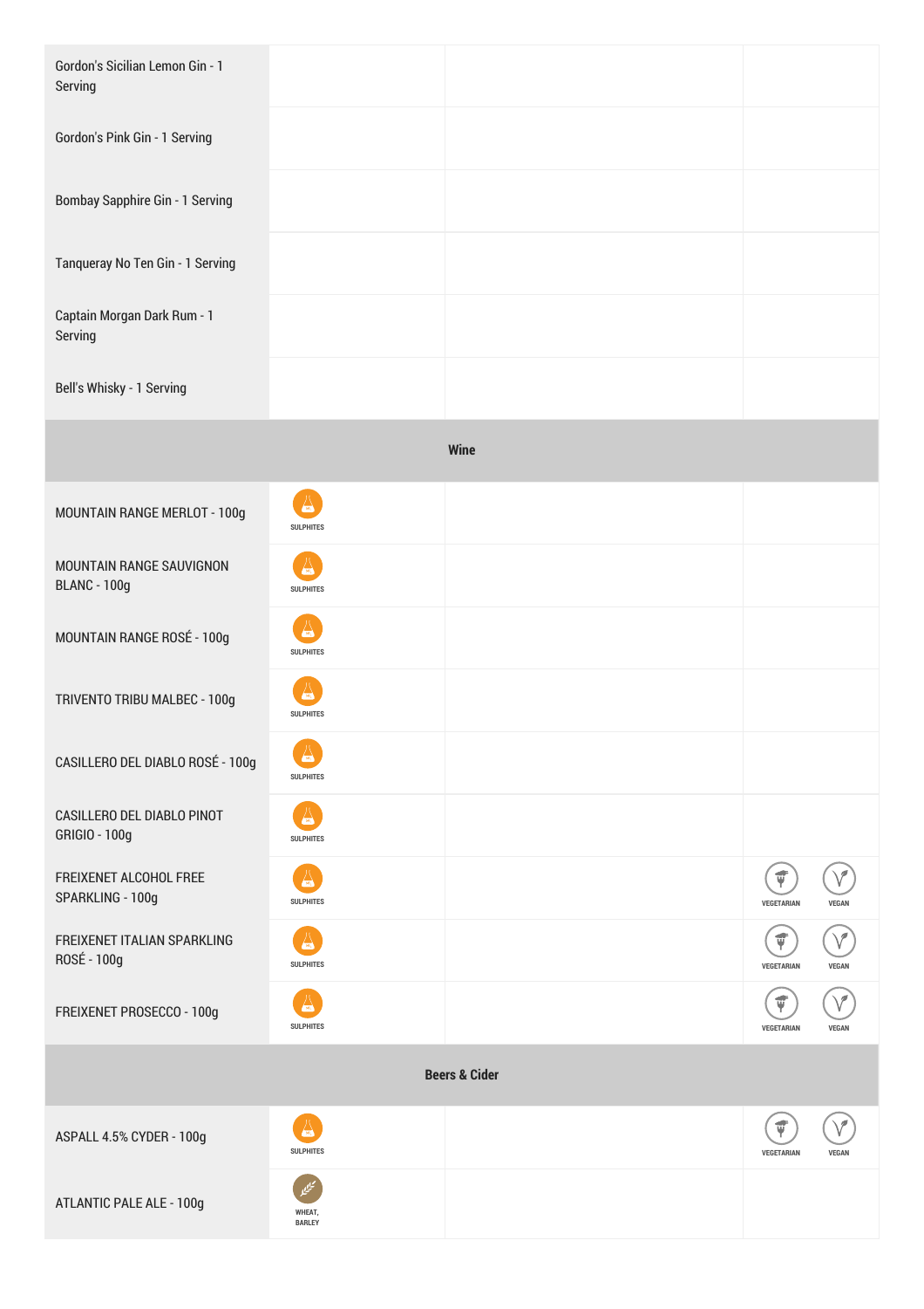| Gordon's Sicilian Lemon Gin - 1<br>Serving      |                                            |      |                                     |  |
|-------------------------------------------------|--------------------------------------------|------|-------------------------------------|--|
| Gordon's Pink Gin - 1 Serving                   |                                            |      |                                     |  |
| <b>Bombay Sapphire Gin - 1 Serving</b>          |                                            |      |                                     |  |
| Tanqueray No Ten Gin - 1 Serving                |                                            |      |                                     |  |
| Captain Morgan Dark Rum - 1<br>Serving          |                                            |      |                                     |  |
| Bell's Whisky - 1 Serving                       |                                            |      |                                     |  |
|                                                 |                                            | Wine |                                     |  |
| MOUNTAIN RANGE MERLOT - 100g                    | A<br><b>SULPHITES</b>                      |      |                                     |  |
| MOUNTAIN RANGE SAUVIGNON<br><b>BLANC - 100g</b> | <b>SULPHITES</b>                           |      |                                     |  |
| MOUNTAIN RANGE ROSÉ - 100g                      | <b>SULPHITES</b>                           |      |                                     |  |
| TRIVENTO TRIBU MALBEC - 100g                    | $\sqrt{50}$<br><b>SULPHITES</b>            |      |                                     |  |
| CASILLERO DEL DIABLO ROSÉ - 100g                | 厶<br><b>SULPHITES</b>                      |      |                                     |  |
| CASILLERO DEL DIABLO PINOT<br>GRIGIO - 100g     | <b>SULPHITES</b>                           |      |                                     |  |
| FREIXENET ALCOHOL FREE<br>SPARKLING - 100g      | $\sqrt{302}$<br><b>SULPHITES</b>           |      | $\vec{\Psi}$<br>VEGETARIAN<br>VEGAN |  |
| FREIXENET ITALIAN SPARKLING<br>ROSÉ - 100g      | <b>SULPHITES</b>                           |      | ť<br>VEGETARIAN<br><b>VEGAN</b>     |  |
| FREIXENET PROSECCO - 100g                       | <b>SULPHITES</b>                           |      | ψ<br>VEGETARIAN<br><b>VEGAN</b>     |  |
| <b>Beers &amp; Cider</b>                        |                                            |      |                                     |  |
| ASPALL 4.5% CYDER - 100g                        | $\sqrt{\frac{1}{200}}$<br><b>SULPHITES</b> |      | ť<br>VEGETARIAN<br><b>VEGAN</b>     |  |
| <b>ATLANTIC PALE ALE - 100g</b>                 | WHEAT,<br><b>BARLEY</b>                    |      |                                     |  |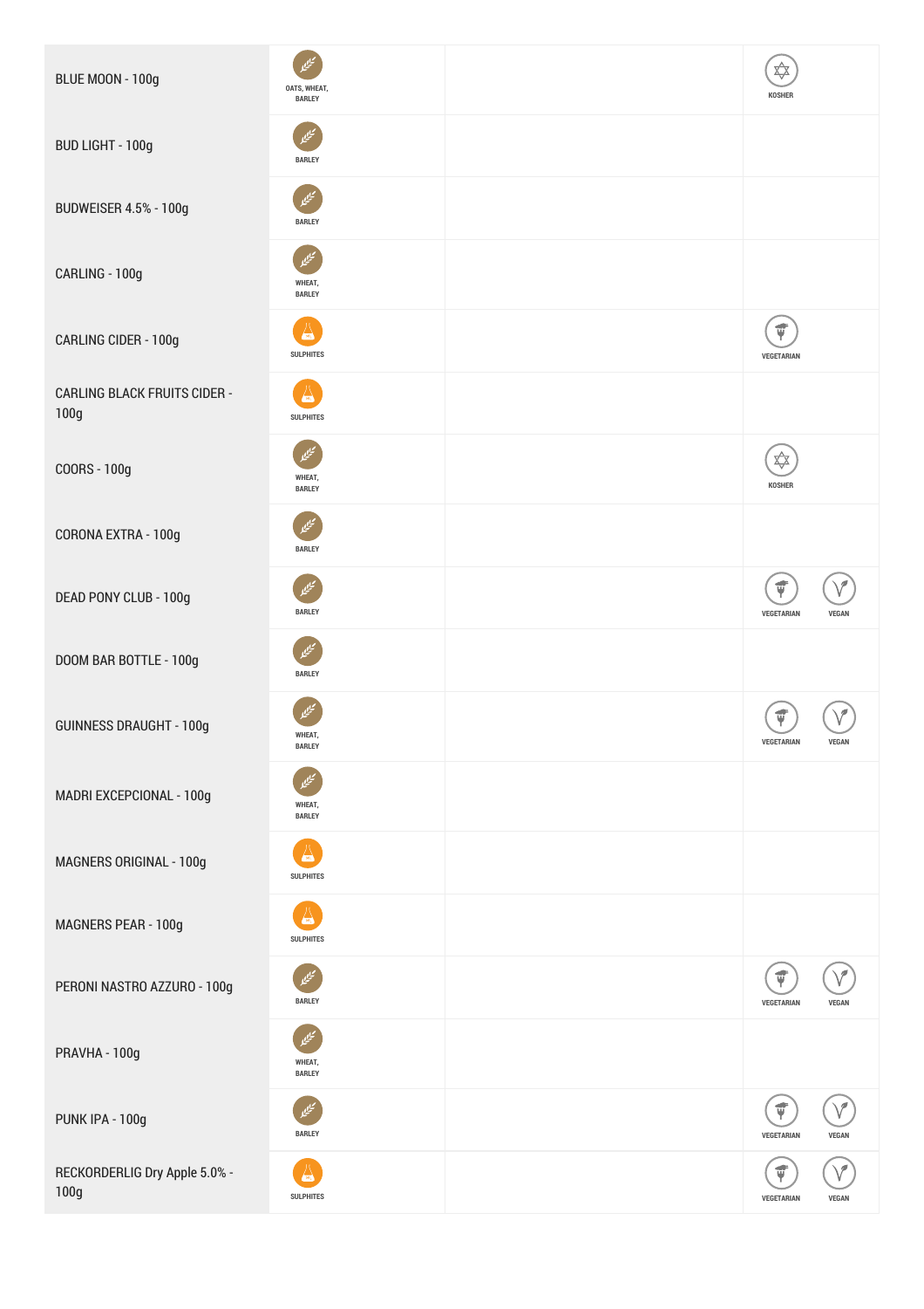| BLUE MOON - 100g                            | OATS, WHEAT,<br><b>BARLEY</b>               | ✿<br>KOSHER                                                                                                                                                                                                                                                                                                                                                                                                                                                                                                                                                            |
|---------------------------------------------|---------------------------------------------|------------------------------------------------------------------------------------------------------------------------------------------------------------------------------------------------------------------------------------------------------------------------------------------------------------------------------------------------------------------------------------------------------------------------------------------------------------------------------------------------------------------------------------------------------------------------|
| BUD LIGHT - 100g                            | <b>BARLEY</b>                               |                                                                                                                                                                                                                                                                                                                                                                                                                                                                                                                                                                        |
| <b>BUDWEISER 4.5% - 100g</b>                | <b>BARLEY</b>                               |                                                                                                                                                                                                                                                                                                                                                                                                                                                                                                                                                                        |
| CARLING - 100g                              | WHEAT,<br><b>BARLEY</b>                     |                                                                                                                                                                                                                                                                                                                                                                                                                                                                                                                                                                        |
| CARLING CIDER - 100g                        | <b>SULPHITES</b>                            | $\vec{\Psi}$<br>VEGETARIAN                                                                                                                                                                                                                                                                                                                                                                                                                                                                                                                                             |
| <b>CARLING BLACK FRUITS CIDER -</b><br>100g | $\frac{1}{20}$<br><b>SULPHITES</b>          |                                                                                                                                                                                                                                                                                                                                                                                                                                                                                                                                                                        |
| COORS - 100g                                | WHEAT,<br><b>BARLEY</b>                     | $\bigtimes\hspace{-5pt}\bigtimes\hspace{-5pt}\bigtimes\hspace{-5pt}\bigtimes\hspace{-5pt}\bigtimes\hspace{-5pt}\bigtimes\hspace{-5pt}\bigtimes\hspace{-5pt}\bigtimes\hspace{-5pt}\bigtimes\hspace{-5pt}\bigtimes\hspace{-5pt}\bigtimes\hspace{-5pt}\bigtimes\hspace{-5pt}\bigtimes\hspace{-5pt}\bigtimes\hspace{-5pt}\bigtimes\hspace{-5pt}\bigtimes\hspace{-5pt}\bigtimes\hspace{-5pt}\bigtimes\hspace{-5pt}\bigtimes\hspace{-5pt}\bigtimes\hspace{-5pt}\bigtimes\hspace{-5pt}\bigtimes\hspace{-5pt}\bigtimes\hspace{-5pt}\bigtimes\hspace{-5pt}\bigtimes\$<br>KOSHER |
| CORONA EXTRA - 100g                         | تيلي<br><b>BARLEY</b>                       |                                                                                                                                                                                                                                                                                                                                                                                                                                                                                                                                                                        |
| DEAD PONY CLUB - 100g                       | <b>BARLEY</b>                               | $\vec{v}$<br>VEGETARIAN<br><b>VEGAN</b>                                                                                                                                                                                                                                                                                                                                                                                                                                                                                                                                |
| DOOM BAR BOTTLE - 100g                      | <b>BARLEY</b>                               |                                                                                                                                                                                                                                                                                                                                                                                                                                                                                                                                                                        |
| <b>GUINNESS DRAUGHT - 100g</b>              | WHEAT,<br><b>BARLEY</b>                     | <b>VEGETARIAN</b><br><b>VEGAN</b>                                                                                                                                                                                                                                                                                                                                                                                                                                                                                                                                      |
| MADRI EXCEPCIONAL - 100g                    | WHEAT,<br><b>BARLEY</b>                     |                                                                                                                                                                                                                                                                                                                                                                                                                                                                                                                                                                        |
| MAGNERS ORIGINAL - 100g                     | $\left( \infty \right)$<br><b>SULPHITES</b> |                                                                                                                                                                                                                                                                                                                                                                                                                                                                                                                                                                        |
| MAGNERS PEAR - 100g                         | <b>SULPHITES</b>                            |                                                                                                                                                                                                                                                                                                                                                                                                                                                                                                                                                                        |
| PERONI NASTRO AZZURO - 100g                 | <b>BARLEY</b>                               | $\vec{\Psi}$<br>VEGETARIAN<br><b>VEGAN</b>                                                                                                                                                                                                                                                                                                                                                                                                                                                                                                                             |
| PRAVHA - 100g                               | WHEAT,<br><b>BARLEY</b>                     |                                                                                                                                                                                                                                                                                                                                                                                                                                                                                                                                                                        |
| PUNK IPA - 100g                             | <b>BARLEY</b>                               | $\vec{\Psi}$<br>VEGETARIAN<br><b>VEGAN</b>                                                                                                                                                                                                                                                                                                                                                                                                                                                                                                                             |
| RECKORDERLIG Dry Apple 5.0% -<br>100g       | <b>SULPHITES</b>                            | ť<br>VEGETARIAN<br><b>VEGAN</b>                                                                                                                                                                                                                                                                                                                                                                                                                                                                                                                                        |